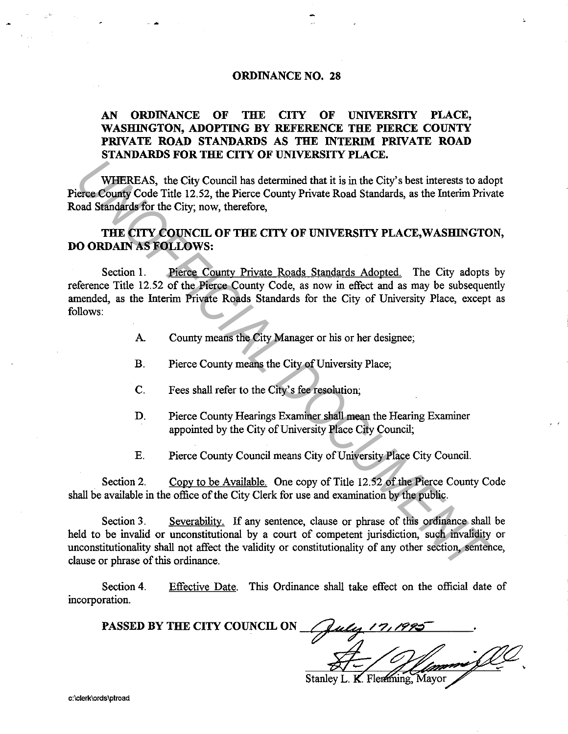## ORDINANCE NO. 28

## AN ORDINANCE OF THE CITY OF UNIVERSITY PLACE, WASHINGTON, ADOPTING BY REFERENCE THE PIERCE COUNTY PRIVATE ROAD STANDARDS AS THE INTERIM PRIVATE ROAD STANDARDS FOR THE CITY OF UNIVERSITY PLACE.

WHEREAS, the City Council has determined that it is in the City's best interests to adopt Pierce County Code Title 12.52, the Pierce County Private Road Standards, as the Interim Private Road Standards for the City; now, therefore,

## THE CITY COUNCIL OF THE CITY OF UNIVERSITY PLACE,WASHINGTON, DO ORDAIN AS FOLLOWS:

Section 1. Pierce County Private Roads Standards Adopted. The City adopts by reference Title 12.52 of the Pierce County Code, as now in effect and as may be subsequently amended, as the Interim Private Roads Standards for the City of University Place, except as follows: **WHEREAS, the City Council has determined that it is in the City's best interests to adderee County Code Trile 12.52, the Pierce County Private Road Standards, as the Interim Private County Code Trile 12.52, the Pierce Cou** 

- A. County means the City Manager or his or her designee;
- B. Pierce County means the City of University Place;
- C. Fees shall refer to the City's fee resolution;
- D. Pierce County Hearings Examiner shall mean the Hearing Examiner appointed by the City of University Place City Council;
- E. Pierce County Council means City of University Place City Council.

Section 2. Copy to be Available. One copy of Title 12.52 of the Pierce County Code shall be available in the office of the City Clerk for use and examination by the public.

Section 3. Severability. If any sentence, clause or phrase of this ordinance shall be held to be invalid or unconstitutional by a court of competent jurisdiction, such invalidity or unconstitutionality shall not affect the validity or constitutionality of any other section, sentence, clause or phrase of this ordinance.

Section 4. incorporation. Effective Date. This Ordinance shall take effect on the official date of

PASSED BY THE CITY COUNCIL ON Stanley L. K. Flemming, Mayor

c:\clerk\ordslptroad